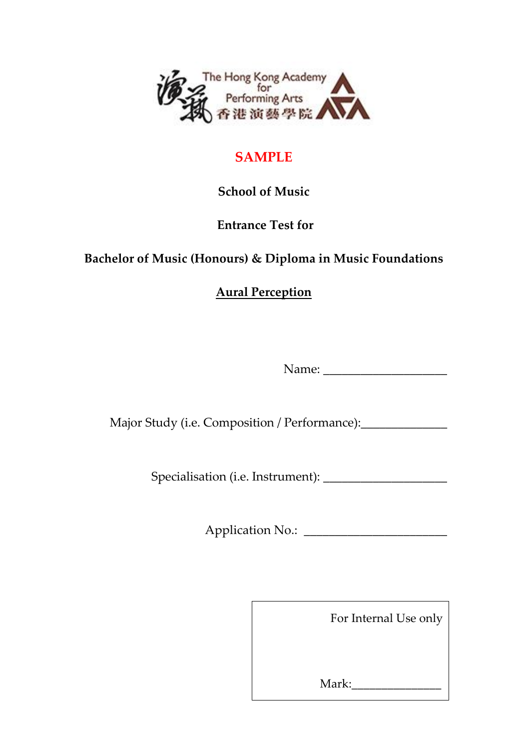

## **SAMPLE**

## **School of Music**

## **Entrance Test for**

## **Bachelor of Music (Honours) & Diploma in Music Foundations**

**Aural Perception** 

Name: \_\_\_\_\_\_\_\_\_\_\_\_\_\_\_\_\_\_\_\_

Major Study (i.e. Composition / Performance):

Specialisation (i.e. Instrument): \_\_\_\_\_\_\_\_\_\_\_\_\_\_\_\_\_\_\_\_

Application No.: \_\_\_\_\_\_\_\_\_\_\_\_\_\_\_\_\_\_\_\_\_\_\_

For Internal Use only

Mark: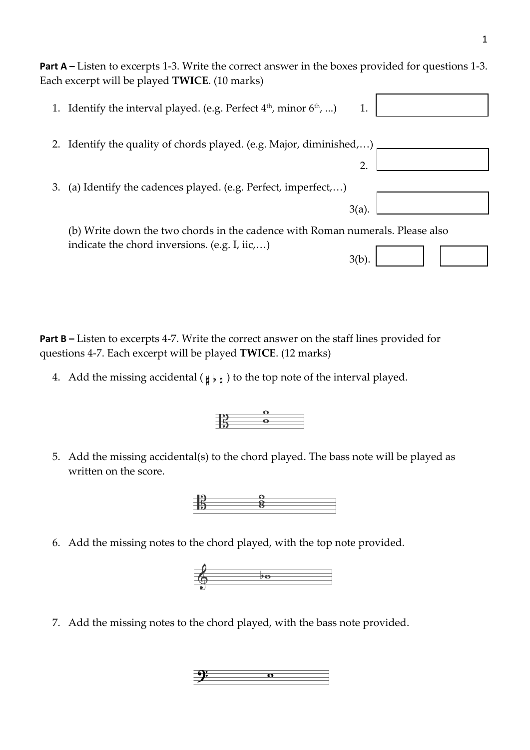**Part A** – Listen to excerpts 1-3. Write the correct answer in the boxes provided for questions 1-3. Each excerpt will be played **TWICE**. (10 marks)

| 1. | Identify the interval played. (e.g. Perfect 4 <sup>th</sup> , minor 6 <sup>th</sup> , ) |
|----|-----------------------------------------------------------------------------------------|
| 2. | Identify the quality of chords played. (e.g. Major, diminished,)                        |
|    |                                                                                         |
| 3. | (a) Identify the cadences played. (e.g. Perfect, imperfect,)                            |
|    |                                                                                         |
|    | (b) Write down the two chords in the cadence with Roman numerals. Please also           |
|    | indicate the chord inversions. (e.g. I, iic,)                                           |

**Part B** – Listen to excerpts 4-7. Write the correct answer on the staff lines provided for questions 4-7. Each excerpt will be played **TWICE**. (12 marks)

4. Add the missing accidental ( $\sharp b \sharp$ ) to the top note of the interval played.



 $\begin{array}{c|c}\n\circ \\
\circ \\
\circ\n\end{array}$ 

 $\frac{1}{2}$  8

6. Add the missing notes to the chord played, with the top note provided.



7. Add the missing notes to the chord played, with the bass note provided.

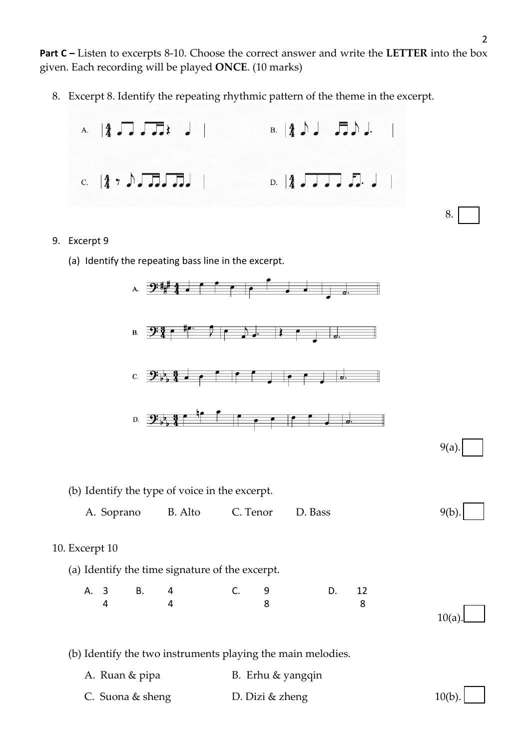**Part C –** Listen to excerpts 8-10. Choose the correct answer and write the **LETTER** into the box given. Each recording will be played **ONCE**. (10 marks)

8. Excerpt 8. Identify the repeating rhythmic pattern of the theme in the excerpt.



- 9. Excerpt 9
	- (a) Identify the repeating bass line in the excerpt.



8.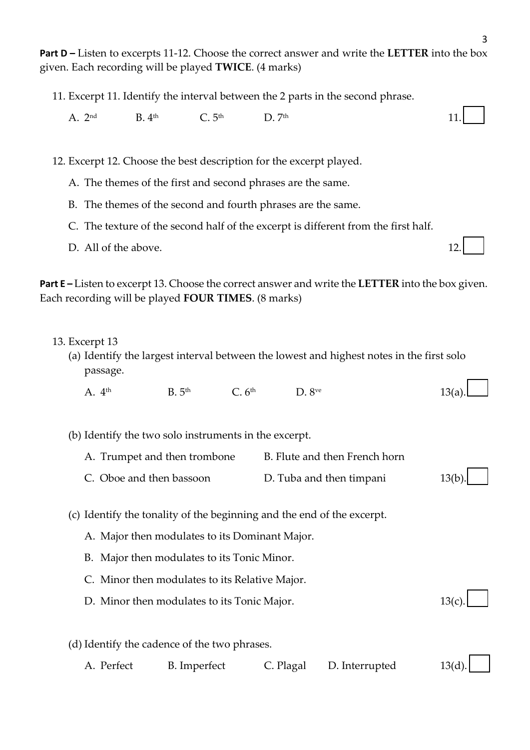**Part D –** Listen to excerpts 11-12. Choose the correct answer and write the **LETTER** into the box given. Each recording will be played **TWICE**. (4 marks)

- 11. Excerpt 11. Identify the interval between the 2 parts in the second phrase.
	- A.  $2^{nd}$  B.  $4^{th}$  C.  $5^{th}$  D.  $7^{th}$  11.

12. Excerpt 12. Choose the best description for the excerpt played.

- A. The themes of the first and second phrases are the same.
- B. The themes of the second and fourth phrases are the same.
- C. The texture of the second half of the excerpt is different from the first half.
- D. All of the above. 12.

**Part E –** Listen to excerpt 13. Choose the correct answer and write the **LETTER** into the box given. Each recording will be played **FOUR TIMES**. (8 marks)

- 13. Excerpt 13
	- (a) Identify the largest interval between the lowest and highest notes in the first solo passage.
		- A.  $4^{\text{th}}$  B.  $5^{\text{th}}$  C.  $6^{\text{th}}$  D.  $8^{\text{ve}}$  13(a).
	- (b) Identify the two solo instruments in the excerpt.
		- A. Trumpet and then trombone B. Flute and then French horn
		- C. Oboe and then bassoon D. Tuba and then timpani 13(b).
	- (c) Identify the tonality of the beginning and the end of the excerpt.
		- A. Major then modulates to its Dominant Major.
		- B. Major then modulates to its Tonic Minor.
		- C. Minor then modulates to its Relative Major.
		- D. Minor then modulates to its Tonic Major.  $13(c)$ .
	- (d) Identify the cadence of the two phrases.
		- A. Perfect B. Imperfect C. Plagal D. Interrupted 13(d).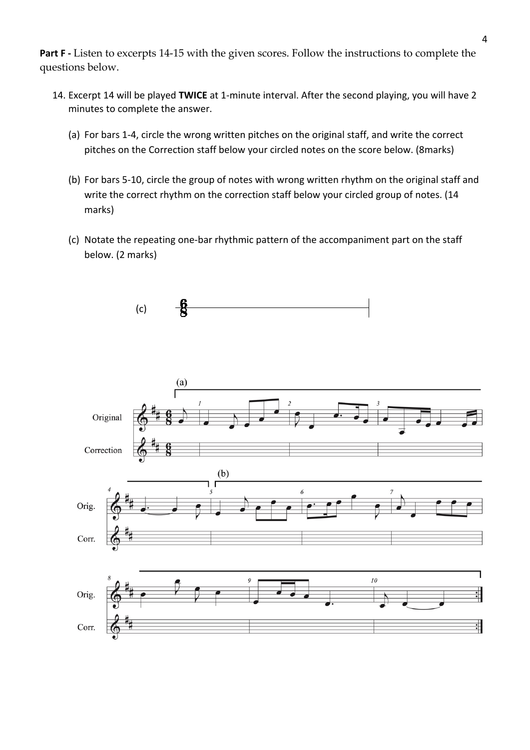**Part F -** Listen to excerpts 14-15 with the given scores. Follow the instructions to complete the questions below.

- 14. Excerpt 14 will be played **TWICE** at 1-minute interval. After the second playing, you will have 2 minutes to complete the answer.
	- (a) For bars 1-4, circle the wrong written pitches on the original staff, and write the correct pitches on the Correction staff below your circled notes on the score below. (8marks)
	- (b) For bars 5-10, circle the group of notes with wrong written rhythm on the original staff and write the correct rhythm on the correction staff below your circled group of notes. (14 marks)
	- (c) Notate the repeating one-bar rhythmic pattern of the accompaniment part on the staff below. (2 marks)